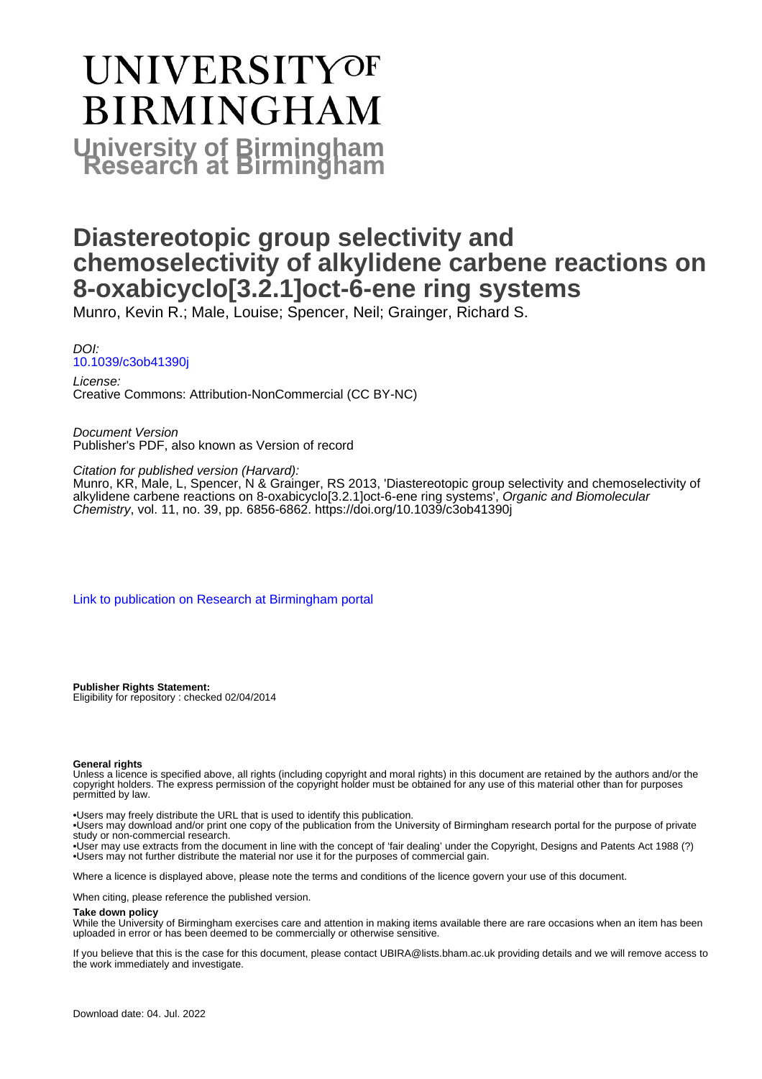# **UNIVERSITYOF BIRMINGHAM University of Birmingham**

# **Diastereotopic group selectivity and chemoselectivity of alkylidene carbene reactions on 8-oxabicyclo[3.2.1]oct-6-ene ring systems**

Munro, Kevin R.; Male, Louise; Spencer, Neil; Grainger, Richard S.

DOI: [10.1039/c3ob41390j](https://doi.org/10.1039/c3ob41390j)

License: Creative Commons: Attribution-NonCommercial (CC BY-NC)

Document Version Publisher's PDF, also known as Version of record

Citation for published version (Harvard):

Munro, KR, Male, L, Spencer, N & Grainger, RS 2013, 'Diastereotopic group selectivity and chemoselectivity of alkylidene carbene reactions on 8-oxabicyclo[3.2.1]oct-6-ene ring systems', Organic and Biomolecular Chemistry, vol. 11, no. 39, pp. 6856-6862. <https://doi.org/10.1039/c3ob41390j>

[Link to publication on Research at Birmingham portal](https://birmingham.elsevierpure.com/en/publications/cc523241-25ce-4243-b4eb-6ac8566772fe)

**Publisher Rights Statement:** Eligibility for repository : checked 02/04/2014

#### **General rights**

Unless a licence is specified above, all rights (including copyright and moral rights) in this document are retained by the authors and/or the copyright holders. The express permission of the copyright holder must be obtained for any use of this material other than for purposes permitted by law.

• Users may freely distribute the URL that is used to identify this publication.

• Users may download and/or print one copy of the publication from the University of Birmingham research portal for the purpose of private study or non-commercial research.

• User may use extracts from the document in line with the concept of 'fair dealing' under the Copyright, Designs and Patents Act 1988 (?) • Users may not further distribute the material nor use it for the purposes of commercial gain.

Where a licence is displayed above, please note the terms and conditions of the licence govern your use of this document.

When citing, please reference the published version.

#### **Take down policy**

While the University of Birmingham exercises care and attention in making items available there are rare occasions when an item has been uploaded in error or has been deemed to be commercially or otherwise sensitive.

If you believe that this is the case for this document, please contact UBIRA@lists.bham.ac.uk providing details and we will remove access to the work immediately and investigate.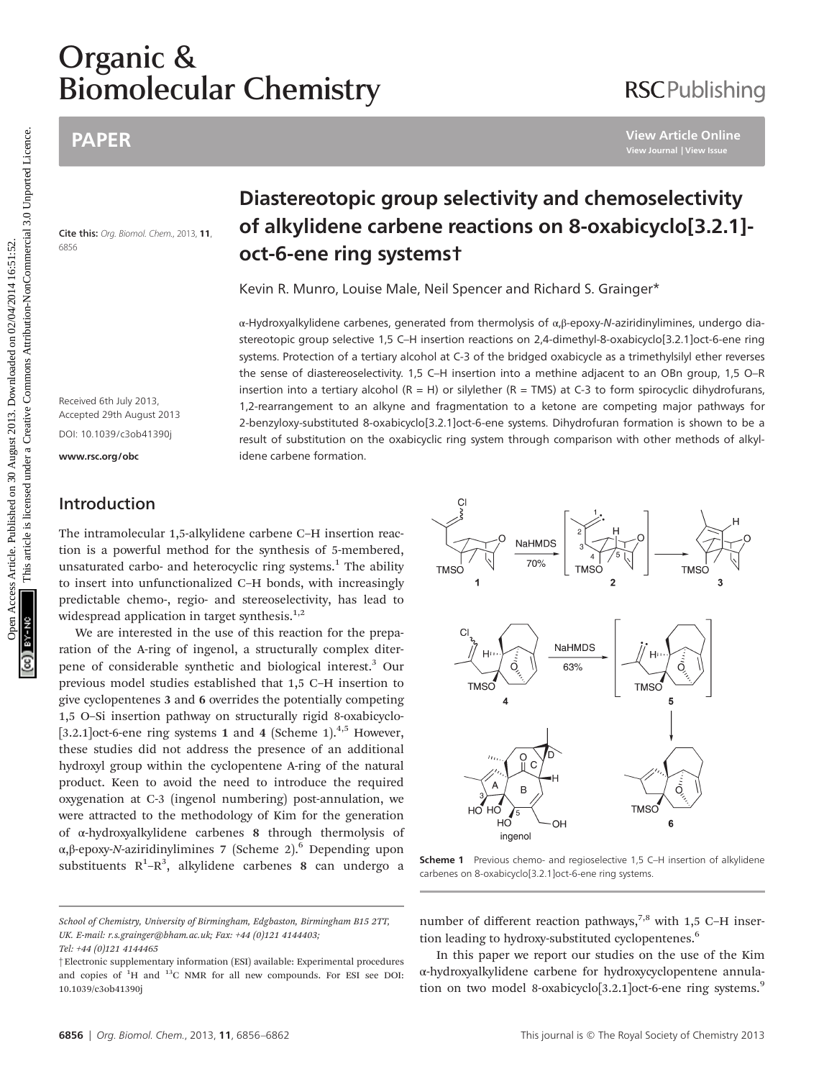# **Biomolecu** Biomolecular Chemistry

## PAPER

Cite this: Org. Biomol. Chem., 2013, 11, 6856

# Diastereotopic group selectivity and chemoselectivity of alkylidene carbene reactions on 8-oxabicyclo[3.2.1] oct-6-ene ring systems†

Kevin R. Munro, Louise Male, Neil Spencer and Richard S. Grainger\*

α-Hydroxyalkylidene carbenes, generated from thermolysis of α,β-epoxy-N-aziridinylimines, undergo diastereotopic group selective 1,5 C–H insertion reactions on 2,4-dimethyl-8-oxabicyclo[3.2.1]oct-6-ene ring systems. Protection of a tertiary alcohol at C-3 of the bridged oxabicycle as a trimethylsilyl ether reverses the sense of diastereoselectivity. 1,5 C–H insertion into a methine adjacent to an OBn group, 1,5 O–R insertion into a tertiary alcohol  $(R = H)$  or silylether  $(R = TMS)$  at C-3 to form spirocyclic dihydrofurans, 1,2-rearrangement to an alkyne and fragmentation to a ketone are competing major pathways for 2-benzyloxy-substituted 8-oxabicyclo[3.2.1]oct-6-ene systems. Dihydrofuran formation is shown to be a result of substitution on the oxabicyclic ring system through comparison with other methods of alkylidene carbene formation. PAPER<br>
Diastereotopic group selectivity and chemoselectivity<br>  $\frac{1}{2}$  care the Cy facet from Jm<sub>3</sub> n, **of alkylidene carbene reactions on 8-oxabicyclo[3.2.1**<br>
State cy facet from Jm<sub>3</sub> n, **b**<br>  $\frac{1}{2}$  care the Cy face

Received 6th July 2013, Accepted 29th August 2013 DOI: 10.1039/c3ob41390j

<www.rsc.org/obc>

## Introduction

The intramolecular 1,5-alkylidene carbene C–H insertion reaction is a powerful method for the synthesis of 5-membered, unsaturated carbo- and heterocyclic ring systems. $<sup>1</sup>$  The ability</sup> to insert into unfunctionalized C–H bonds, with increasingly predictable chemo-, regio- and stereoselectivity, has lead to widespread application in target synthesis. $1,2$ 

We are interested in the use of this reaction for the preparation of the A-ring of ingenol, a structurally complex diterpene of considerable synthetic and biological interest.<sup>3</sup> Our previous model studies established that 1,5 C–H insertion to give cyclopentenes 3 and 6 overrides the potentially competing 1,5 O–Si insertion pathway on structurally rigid 8-oxabicyclo- [3.2.1] oct-6-ene ring systems 1 and 4 (Scheme 1).<sup>4,5</sup> However, these studies did not address the presence of an additional hydroxyl group within the cyclopentene A-ring of the natural product. Keen to avoid the need to introduce the required oxygenation at C-3 (ingenol numbering) post-annulation, we were attracted to the methodology of Kim for the generation of α-hydroxyalkylidene carbenes 8 through thermolysis of α,β-epoxy-N-aziridinylimines 7 (Scheme 2).<sup>6</sup> Depending upon substituents  $R^1-R^3$ , alkylidene carbenes 8 can undergo a

tion leading to hydroxy-substituted cyclopentenes.<sup>6</sup> In this paper we report our studies on the use of the Kim

Scheme 1 Previous chemo- and regioselective 1,5 C-H insertion of alkylidene carbenes on 8-oxabicyclo[3.2.1]oct-6-ene ring systems.

number of different reaction pathways, $7,8$  with 1,5 C-H inser-

α-hydroxyalkylidene carbene for hydroxycyclopentene annulation on two model 8-oxabicyclo[3.2.1]oct-6-ene ring systems.<sup>9</sup>



# **RSCPublishing**

School of Chemistry, University of Birmingham, Edgbaston, Birmingham B15 2TT, UK. E-mail: r.s.grainger@bham.ac.uk; Fax: +44 (0)121 4144403;

Tel: +44 (0)121 4144465

<sup>†</sup>Electronic supplementary information (ESI) available: Experimental procedures and copies of  ${}^{1}H$  and  ${}^{13}C$  NMR for all new compounds. For ESI see DOI: 10.1039/c3ob41390j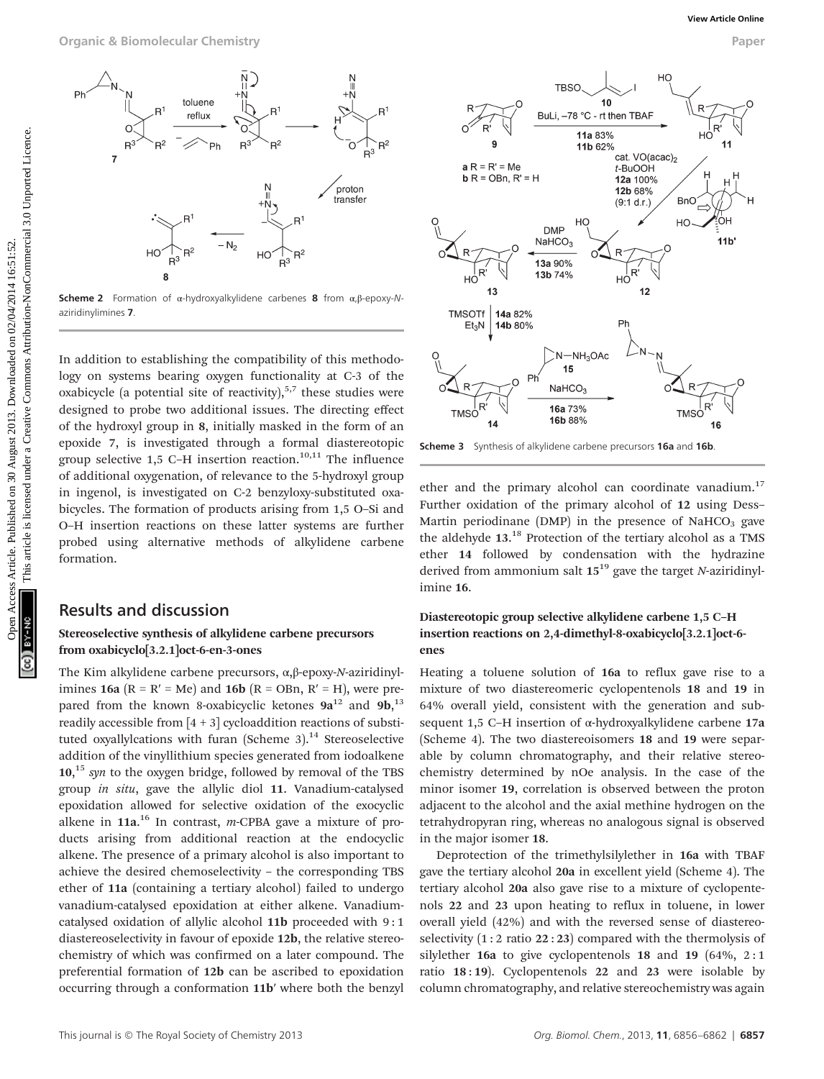

Scheme 2 Formation of α-hydroxyalkylidene carbenes 8 from  $\alpha$ ,β-epoxy-Naziridinylimines 7.

In addition to establishing the compatibility of this methodology on systems bearing oxygen functionality at C-3 of the oxabicycle (a potential site of reactivity), $5,7$  these studies were designed to probe two additional issues. The directing effect of the hydroxyl group in 8, initially masked in the form of an epoxide 7, is investigated through a formal diastereotopic group selective  $1,5$  C-H insertion reaction.<sup>10,11</sup> The influence of additional oxygenation, of relevance to the 5-hydroxyl group in ingenol, is investigated on C-2 benzyloxy-substituted oxabicycles. The formation of products arising from 1,5 O–Si and O–H insertion reactions on these latter systems are further probed using alternative methods of alkylidene carbene formation.

#### Results and discussion

#### Stereoselective synthesis of alkylidene carbene precursors from oxabicyclo[3.2.1]oct-6-en-3-ones

The Kim alkylidene carbene precursors, α,β-epoxy-N-aziridinylimines 16a ( $R = R' = Me$ ) and 16b ( $R = OBn$ ,  $R' = H$ ), were prepared from the known 8-oxabicyclic ketones  $9a^{12}$  and  $9b, ^{13}$ readily accessible from  $[4 + 3]$  cycloaddition reactions of substituted oxyallylcations with furan (Scheme 3).<sup>14</sup> Stereoselective addition of the vinyllithium species generated from iodoalkene  $10<sup>15</sup>$  syn to the oxygen bridge, followed by removal of the TBS group in situ, gave the allylic diol 11. Vanadium-catalysed epoxidation allowed for selective oxidation of the exocyclic alkene in  $11a$ .<sup>16</sup> In contrast, *m*-CPBA gave a mixture of products arising from additional reaction at the endocyclic alkene. The presence of a primary alcohol is also important to achieve the desired chemoselectivity – the corresponding TBS ether of 11a (containing a tertiary alcohol) failed to undergo vanadium-catalysed epoxidation at either alkene. Vanadiumcatalysed oxidation of allylic alcohol 11b proceeded with 9 : 1 diastereoselectivity in favour of epoxide 12b, the relative stereochemistry of which was confirmed on a later compound. The preferential formation of 12b can be ascribed to epoxidation occurring through a conformation 11b′ where both the benzyl



Scheme 3 Synthesis of alkylidene carbene precursors 16a and 16b

ether and the primary alcohol can coordinate vanadium.<sup>17</sup> Further oxidation of the primary alcohol of 12 using Dess– Martin periodinane (DMP) in the presence of NaHCO<sub>3</sub> gave the aldehyde 13.<sup>18</sup> Protection of the tertiary alcohol as a TMS ether 14 followed by condensation with the hydrazine derived from ammonium salt  $15^{19}$  gave the target N-aziridinylimine 16.

#### Diastereotopic group selective alkylidene carbene 1,5 C–H insertion reactions on 2,4-dimethyl-8-oxabicyclo[3.2.1]oct-6 enes

Heating a toluene solution of 16a to reflux gave rise to a mixture of two diastereomeric cyclopentenols 18 and 19 in 64% overall yield, consistent with the generation and subsequent 1,5 C–H insertion of α-hydroxyalkylidene carbene 17a (Scheme 4). The two diastereoisomers 18 and 19 were separable by column chromatography, and their relative stereochemistry determined by nOe analysis. In the case of the minor isomer 19, correlation is observed between the proton adjacent to the alcohol and the axial methine hydrogen on the tetrahydropyran ring, whereas no analogous signal is observed in the major isomer 18.

Deprotection of the trimethylsilylether in 16a with TBAF gave the tertiary alcohol 20a in excellent yield (Scheme 4). The tertiary alcohol 20a also gave rise to a mixture of cyclopentenols 22 and 23 upon heating to reflux in toluene, in lower overall yield (42%) and with the reversed sense of diastereoselectivity  $(1:2 \text{ ratio } 22:23)$  compared with the thermolysis of silylether 16a to give cyclopentenols 18 and 19  $(64\%, 2:1)$ ratio  $18:19$ ). Cyclopentenols  $22$  and  $23$  were isolable by column chromatography, and relative stereochemistry was again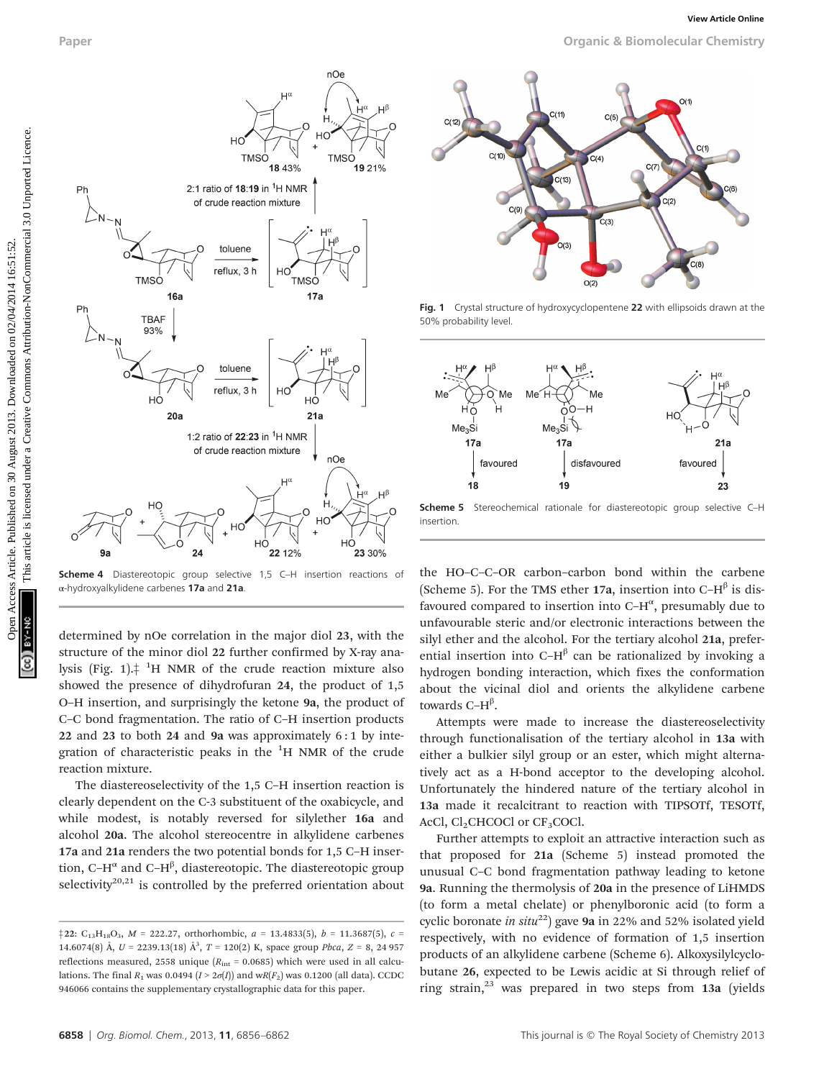Paper Organic & Biomolecular Chemistry



Scheme 4 Diastereotopic group selective 1,5 C-H insertion reactions of α-hydroxyalkylidene carbenes 17a and 21a.

determined by nOe correlation in the major diol 23, with the structure of the minor diol 22 further confirmed by X-ray analysis (Fig. 1). $\dagger$  <sup>1</sup>H NMR of the crude reaction mixture also showed the presence of dihydrofuran 24, the product of 1,5 O–H insertion, and surprisingly the ketone 9a, the product of C–C bond fragmentation. The ratio of C–H insertion products 22 and 23 to both 24 and 9a was approximately 6 : 1 by integration of characteristic peaks in the <sup>1</sup>H NMR of the crude reaction mixture.

The diastereoselectivity of the 1,5 C–H insertion reaction is clearly dependent on the C-3 substituent of the oxabicycle, and while modest, is notably reversed for silylether 16a and alcohol 20a. The alcohol stereocentre in alkylidene carbenes 17a and 21a renders the two potential bonds for 1,5 C–H insertion, C–H $^\alpha$  and C–H $^\beta$ , diastereotopic. The diastereotopic group selectivity<sup>20,21</sup> is controlled by the preferred orientation about



Fig. 1 Crystal structure of hydroxycyclopentene 22 with ellipsoids drawn at the 50% probability level.



Scheme 5 Stereochemical rationale for diastereotopic group selective C-H insertion.

the HO–C–C–OR carbon–carbon bond within the carbene (Scheme 5). For the TMS ether 17a, insertion into  $C-H^{\beta}$  is disfavoured compared to insertion into C- $H^{\alpha}$ , presumably due to unfavourable steric and/or electronic interactions between the silyl ether and the alcohol. For the tertiary alcohol 21a, preferential insertion into C–H $\beta$  can be rationalized by invoking a hydrogen bonding interaction, which fixes the conformation about the vicinal diol and orients the alkylidene carbene towards C– $H^{\beta}$ .

Attempts were made to increase the diastereoselectivity through functionalisation of the tertiary alcohol in 13a with either a bulkier silyl group or an ester, which might alternatively act as a H-bond acceptor to the developing alcohol. Unfortunately the hindered nature of the tertiary alcohol in 13a made it recalcitrant to reaction with TIPSOTf, TESOTf, AcCl,  $Cl_2CHCOCl$  or  $CF_3COCl$ .

Further attempts to exploit an attractive interaction such as that proposed for 21a (Scheme 5) instead promoted the unusual C–C bond fragmentation pathway leading to ketone 9a. Running the thermolysis of 20a in the presence of LiHMDS (to form a metal chelate) or phenylboronic acid (to form a cyclic boronate in situ<sup>22</sup>) gave 9a in 22% and 52% isolated yield respectively, with no evidence of formation of 1,5 insertion products of an alkylidene carbene (Scheme 6). Alkoxysilylcyclobutane 26, expected to be Lewis acidic at Si through relief of ring strain, $^{23}$  was prepared in two steps from 13a (yields

 $\frac{1}{22}$ : C<sub>13</sub>H<sub>18</sub>O<sub>3</sub>, M = 222.27, orthorhombic, a = 13.4833(5), b = 11.3687(5), c = 14.6074(8) Å,  $U = 2239.13(18)$  Å<sup>3</sup>,  $T = 120(2)$  K, space group *Pbca*,  $Z = 8$ , 24 957 reflections measured, 2558 unique ( $R_{\text{int}}$  = 0.0685) which were used in all calculations. The final  $R_1$  was 0.0494 ( $I > 2\sigma(I)$ ) and wR( $F_2$ ) was 0.1200 (all data). CCDC 946066 contains the supplementary crystallographic data for this paper.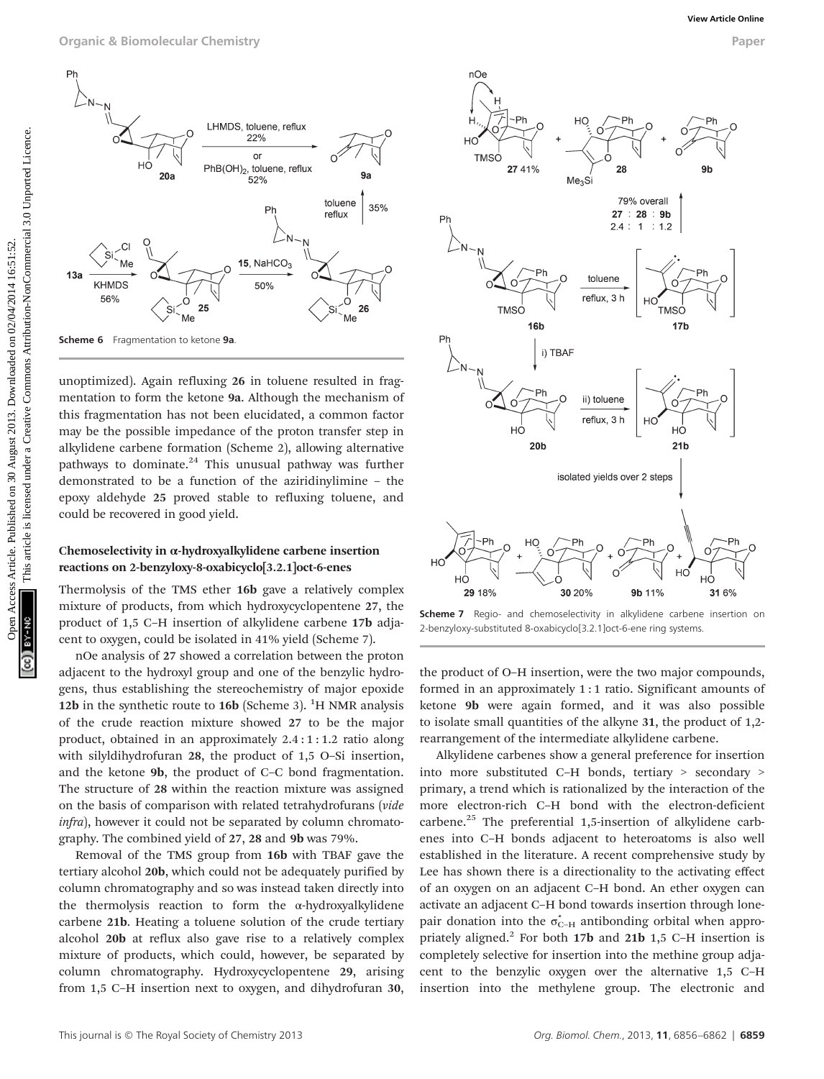

unoptimized). Again refluxing 26 in toluene resulted in fragmentation to form the ketone 9a. Although the mechanism of this fragmentation has not been elucidated, a common factor may be the possible impedance of the proton transfer step in alkylidene carbene formation (Scheme 2), allowing alternative pathways to dominate. $24$  This unusual pathway was further demonstrated to be a function of the aziridinylimine – the epoxy aldehyde 25 proved stable to refluxing toluene, and could be recovered in good yield.

#### Chemoselectivity in α-hydroxyalkylidene carbene insertion reactions on 2-benzyloxy-8-oxabicyclo[3.2.1]oct-6-enes

Thermolysis of the TMS ether 16b gave a relatively complex mixture of products, from which hydroxycyclopentene 27, the product of 1,5 C–H insertion of alkylidene carbene 17b adjacent to oxygen, could be isolated in 41% yield (Scheme 7).

nOe analysis of 27 showed a correlation between the proton adjacent to the hydroxyl group and one of the benzylic hydrogens, thus establishing the stereochemistry of major epoxide 12b in the synthetic route to  $16b$  (Scheme 3). <sup>1</sup>H NMR analysis of the crude reaction mixture showed 27 to be the major product, obtained in an approximately 2.4 : 1 : 1.2 ratio along with silyldihydrofuran 28, the product of 1,5 O–Si insertion, and the ketone 9b, the product of C–C bond fragmentation. The structure of 28 within the reaction mixture was assigned on the basis of comparison with related tetrahydrofurans (vide infra), however it could not be separated by column chromatography. The combined yield of 27, 28 and 9b was 79%.

Removal of the TMS group from 16b with TBAF gave the tertiary alcohol 20b, which could not be adequately purified by column chromatography and so was instead taken directly into the thermolysis reaction to form the α-hydroxyalkylidene carbene 21b. Heating a toluene solution of the crude tertiary alcohol 20b at reflux also gave rise to a relatively complex mixture of products, which could, however, be separated by column chromatography. Hydroxycyclopentene 29, arising from 1,5 C–H insertion next to oxygen, and dihydrofuran 30,



Scheme 7 Regio- and chemoselectivity in alkylidene carbene insertion on 2-benzyloxy-substituted 8-oxabicyclo[3.2.1]oct-6-ene ring systems.

the product of O–H insertion, were the two major compounds, formed in an approximately 1 : 1 ratio. Significant amounts of ketone 9b were again formed, and it was also possible to isolate small quantities of the alkyne 31, the product of 1,2 rearrangement of the intermediate alkylidene carbene.

Alkylidene carbenes show a general preference for insertion into more substituted C–H bonds, tertiary > secondary > primary, a trend which is rationalized by the interaction of the more electron-rich C–H bond with the electron-deficient carbene.<sup>25</sup> The preferential 1,5-insertion of alkylidene carbenes into C–H bonds adjacent to heteroatoms is also well established in the literature. A recent comprehensive study by Lee has shown there is a directionality to the activating effect of an oxygen on an adjacent C–H bond. An ether oxygen can activate an adjacent C–H bond towards insertion through lonepair donation into the  $\sigma_{C-H}^*$  antibonding orbital when appropriately aligned.<sup>2</sup> For both  $17b$  and  $21b$  1,5 C–H insertion is completely selective for insertion into the methine group adjacent to the benzylic oxygen over the alternative 1,5 C–H insertion into the methylene group. The electronic and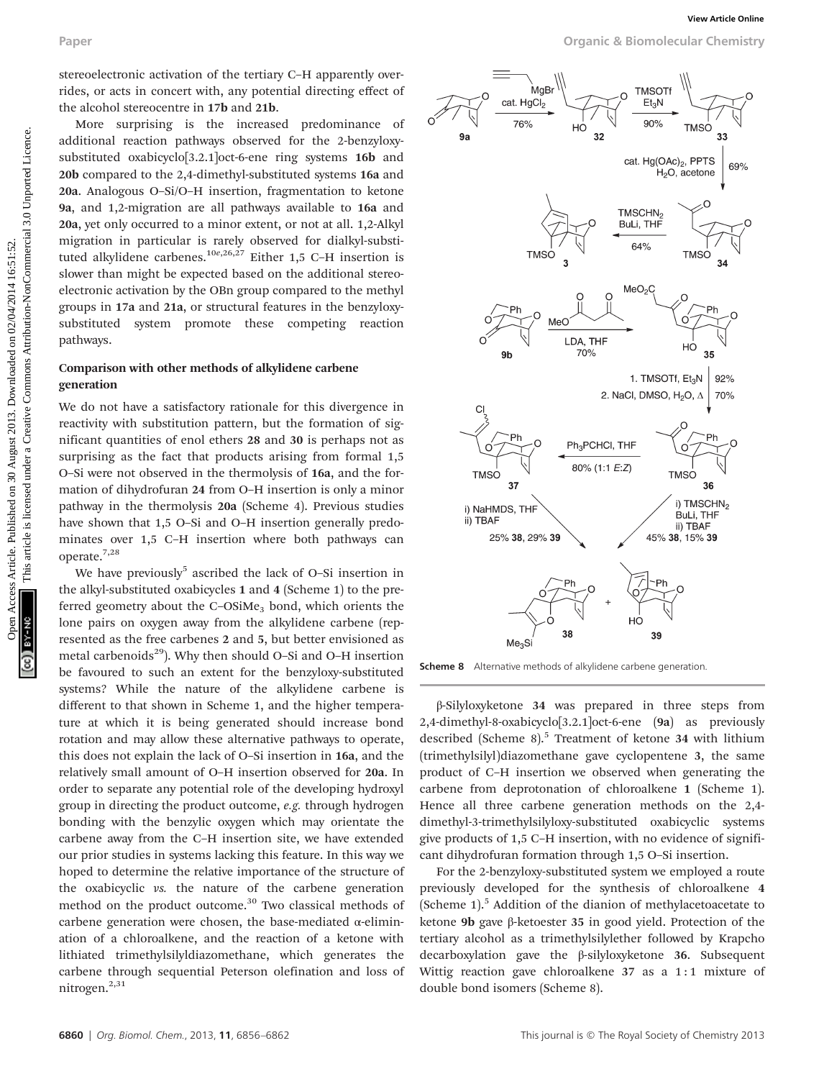stereoelectronic activation of the tertiary C–H apparently overrides, or acts in concert with, any potential directing effect of the alcohol stereocentre in 17b and 21b.

More surprising is the increased predominance of additional reaction pathways observed for the 2-benzyloxysubstituted oxabicyclo[3.2.1]oct-6-ene ring systems 16b and 20b compared to the 2,4-dimethyl-substituted systems 16a and 20a. Analogous O–Si/O–H insertion, fragmentation to ketone 9a, and 1,2-migration are all pathways available to 16a and 20a, yet only occurred to a minor extent, or not at all. 1,2-Alkyl migration in particular is rarely observed for dialkyl-substituted alkylidene carbenes.<sup>10e,26,27</sup> Either 1,5 C-H insertion is slower than might be expected based on the additional stereoelectronic activation by the OBn group compared to the methyl groups in 17a and 21a, or structural features in the benzyloxysubstituted system promote these competing reaction pathways.

#### Comparison with other methods of alkylidene carbene generation

We do not have a satisfactory rationale for this divergence in reactivity with substitution pattern, but the formation of significant quantities of enol ethers 28 and 30 is perhaps not as surprising as the fact that products arising from formal 1,5 O–Si were not observed in the thermolysis of 16a, and the formation of dihydrofuran 24 from O–H insertion is only a minor pathway in the thermolysis 20a (Scheme 4). Previous studies have shown that 1,5 O–Si and O–H insertion generally predominates over 1,5 C–H insertion where both pathways can operate.7,28

We have previously<sup>5</sup> ascribed the lack of O-Si insertion in the alkyl-substituted oxabicycles 1 and 4 (Scheme 1) to the preferred geometry about the  $C$ -OSiMe<sub>3</sub> bond, which orients the lone pairs on oxygen away from the alkylidene carbene (represented as the free carbenes 2 and 5, but better envisioned as metal carbenoids $^{29}$ ). Why then should O–Si and O–H insertion be favoured to such an extent for the benzyloxy-substituted systems? While the nature of the alkylidene carbene is different to that shown in Scheme 1, and the higher temperature at which it is being generated should increase bond rotation and may allow these alternative pathways to operate, this does not explain the lack of O–Si insertion in 16a, and the relatively small amount of O–H insertion observed for 20a. In order to separate any potential role of the developing hydroxyl group in directing the product outcome, e.g. through hydrogen bonding with the benzylic oxygen which may orientate the carbene away from the C–H insertion site, we have extended our prior studies in systems lacking this feature. In this way we hoped to determine the relative importance of the structure of the oxabicyclic vs. the nature of the carbene generation method on the product outcome.<sup>30</sup> Two classical methods of carbene generation were chosen, the base-mediated  $\alpha$ -elimination of a chloroalkene, and the reaction of a ketone with lithiated trimethylsilyldiazomethane, which generates the carbene through sequential Peterson olefination and loss of nitrogen.<sup>2,31</sup>

Paper Organic & Biomolecular Chemistry



Scheme 8 Alternative methods of alkylidene carbene generation.

β-Silyloxyketone 34 was prepared in three steps from 2,4-dimethyl-8-oxabicyclo[3.2.1]oct-6-ene (9a) as previously described (Scheme 8).<sup>5</sup> Treatment of ketone 34 with lithium (trimethylsilyl)diazomethane gave cyclopentene 3, the same product of C–H insertion we observed when generating the carbene from deprotonation of chloroalkene 1 (Scheme 1). Hence all three carbene generation methods on the 2,4 dimethyl-3-trimethylsilyloxy-substituted oxabicyclic systems give products of 1,5 C–H insertion, with no evidence of significant dihydrofuran formation through 1,5 O–Si insertion.

For the 2-benzyloxy-substituted system we employed a route previously developed for the synthesis of chloroalkene 4 (Scheme  $1$ ).<sup>5</sup> Addition of the dianion of methylacetoacetate to ketone 9b gave β-ketoester 35 in good yield. Protection of the tertiary alcohol as a trimethylsilylether followed by Krapcho decarboxylation gave the β-silyloxyketone 36. Subsequent Wittig reaction gave chloroalkene 37 as a 1:1 mixture of double bond isomers (Scheme 8).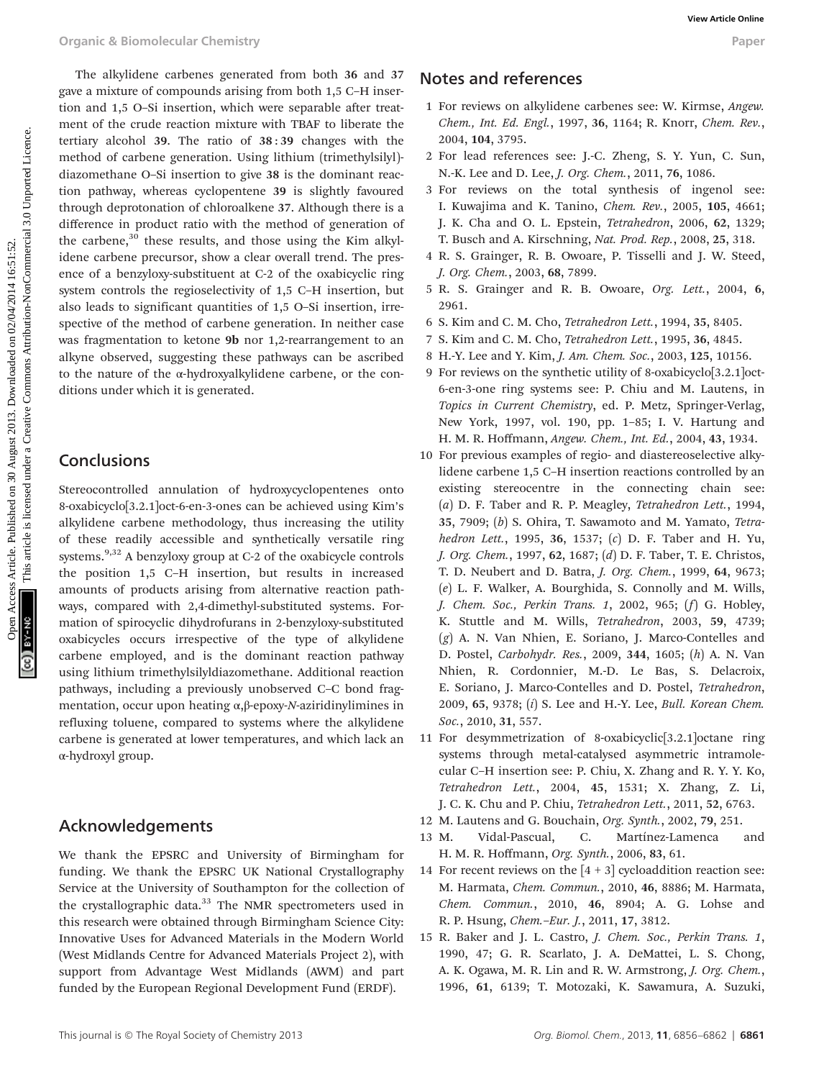The alkylidene carbenes generated from both 36 and 37 gave a mixture of compounds arising from both 1,5 C–H insertion and 1,5 O–Si insertion, which were separable after treatment of the crude reaction mixture with TBAF to liberate the tertiary alcohol 39. The ratio of 38 : 39 changes with the method of carbene generation. Using lithium (trimethylsilyl) diazomethane O–Si insertion to give 38 is the dominant reaction pathway, whereas cyclopentene 39 is slightly favoured through deprotonation of chloroalkene 37. Although there is a difference in product ratio with the method of generation of the carbene, $30$  these results, and those using the Kim alkylidene carbene precursor, show a clear overall trend. The presence of a benzyloxy-substituent at C-2 of the oxabicyclic ring system controls the regioselectivity of 1,5 C–H insertion, but also leads to significant quantities of 1,5 O–Si insertion, irrespective of the method of carbene generation. In neither case was fragmentation to ketone 9b nor 1,2-rearrangement to an alkyne observed, suggesting these pathways can be ascribed to the nature of the α-hydroxyalkylidene carbene, or the conditions under which it is generated. Organic & Biomolecular Chemistry<br>
Space are arbitrary comparatorial chief primaris ( $\overline{z}$ Creative is licensed under a creative is licensed under a creative commons articles. The message are the same of the same of the

## **Conclusions**

Stereocontrolled annulation of hydroxycyclopentenes onto 8-oxabicyclo[3.2.1]oct-6-en-3-ones can be achieved using Kim's alkylidene carbene methodology, thus increasing the utility of these readily accessible and synthetically versatile ring systems.<sup>9,32</sup> A benzyloxy group at C-2 of the oxabicycle controls the position 1,5 C–H insertion, but results in increased amounts of products arising from alternative reaction pathways, compared with 2,4-dimethyl-substituted systems. Formation of spirocyclic dihydrofurans in 2-benzyloxy-substituted oxabicycles occurs irrespective of the type of alkylidene carbene employed, and is the dominant reaction pathway using lithium trimethylsilyldiazomethane. Additional reaction pathways, including a previously unobserved C–C bond fragmentation, occur upon heating α,β-epoxy-N-aziridinylimines in refluxing toluene, compared to systems where the alkylidene carbene is generated at lower temperatures, and which lack an α-hydroxyl group.

## Acknowledgements

We thank the EPSRC and University of Birmingham for funding. We thank the EPSRC UK National Crystallography Service at the University of Southampton for the collection of the crystallographic data.<sup>33</sup> The NMR spectrometers used in this research were obtained through Birmingham Science City: Innovative Uses for Advanced Materials in the Modern World (West Midlands Centre for Advanced Materials Project 2), with support from Advantage West Midlands (AWM) and part funded by the European Regional Development Fund (ERDF).

## Notes and references

- 1 For reviews on alkylidene carbenes see: W. Kirmse, Angew. Chem., Int. Ed. Engl., 1997, 36, 1164; R. Knorr, Chem. Rev., 2004, 104, 3795.
- 2 For lead references see: J.-C. Zheng, S. Y. Yun, C. Sun, N.-K. Lee and D. Lee, J. Org. Chem., 2011, 76, 1086.
- 3 For reviews on the total synthesis of ingenol see: I. Kuwajima and K. Tanino, Chem. Rev., 2005, 105, 4661; J. K. Cha and O. L. Epstein, Tetrahedron, 2006, 62, 1329; T. Busch and A. Kirschning, Nat. Prod. Rep., 2008, 25, 318.
- 4 R. S. Grainger, R. B. Owoare, P. Tisselli and J. W. Steed, J. Org. Chem., 2003, 68, 7899.
- 5 R. S. Grainger and R. B. Owoare, Org. Lett., 2004, 6, 2961.
- 6 S. Kim and C. M. Cho, Tetrahedron Lett., 1994, 35, 8405.
- 7 S. Kim and C. M. Cho, Tetrahedron Lett., 1995, 36, 4845.
- 8 H.-Y. Lee and Y. Kim, J. Am. Chem. Soc., 2003, 125, 10156.
- 9 For reviews on the synthetic utility of 8-oxabicyclo[3.2.1]oct-6-en-3-one ring systems see: P. Chiu and M. Lautens, in Topics in Current Chemistry, ed. P. Metz, Springer-Verlag, New York, 1997, vol. 190, pp. 1–85; I. V. Hartung and H. M. R. Hoffmann, Angew. Chem., Int. Ed., 2004, 43, 1934.
- 10 For previous examples of regio- and diastereoselective alkylidene carbene 1,5 C–H insertion reactions controlled by an existing stereocentre in the connecting chain see: (a) D. F. Taber and R. P. Meagley, Tetrahedron Lett., 1994, 35, 7909; (b) S. Ohira, T. Sawamoto and M. Yamato, Tetrahedron Lett., 1995, 36, 1537; (c) D. F. Taber and H. Yu, J. Org. Chem., 1997, 62, 1687; (d) D. F. Taber, T. E. Christos, T. D. Neubert and D. Batra, J. Org. Chem., 1999, 64, 9673; (e) L. F. Walker, A. Bourghida, S. Connolly and M. Wills, J. Chem. Soc., Perkin Trans. 1, 2002, 965; (f) G. Hobley, K. Stuttle and M. Wills, Tetrahedron, 2003, 59, 4739; (g) A. N. Van Nhien, E. Soriano, J. Marco-Contelles and D. Postel, Carbohydr. Res., 2009, 344, 1605; (h) A. N. Van Nhien, R. Cordonnier, M.-D. Le Bas, S. Delacroix, E. Soriano, J. Marco-Contelles and D. Postel, Tetrahedron, 2009, 65, 9378; (i) S. Lee and H.-Y. Lee, Bull. Korean Chem. Soc., 2010, 31, 557.
- 11 For desymmetrization of 8-oxabicyclic[3.2.1]octane ring systems through metal-catalysed asymmetric intramolecular C–H insertion see: P. Chiu, X. Zhang and R. Y. Y. Ko, Tetrahedron Lett., 2004, 45, 1531; X. Zhang, Z. Li, J. C. K. Chu and P. Chiu, Tetrahedron Lett., 2011, 52, 6763.
- 12 M. Lautens and G. Bouchain, Org. Synth., 2002, 79, 251.
- 13 M. Vidal-Pascual, C. Martínez-Lamenca and H. M. R. Hoffmann, Org. Synth., 2006, 83, 61.
- 14 For recent reviews on the  $[4 + 3]$  cycloaddition reaction see: M. Harmata, Chem. Commun., 2010, 46, 8886; M. Harmata, Chem. Commun., 2010, 46, 8904; A. G. Lohse and R. P. Hsung, Chem.–Eur. J., 2011, 17, 3812.
- 15 R. Baker and J. L. Castro, J. Chem. Soc., Perkin Trans. 1, 1990, 47; G. R. Scarlato, J. A. DeMattei, L. S. Chong, A. K. Ogawa, M. R. Lin and R. W. Armstrong, J. Org. Chem., 1996, 61, 6139; T. Motozaki, K. Sawamura, A. Suzuki,